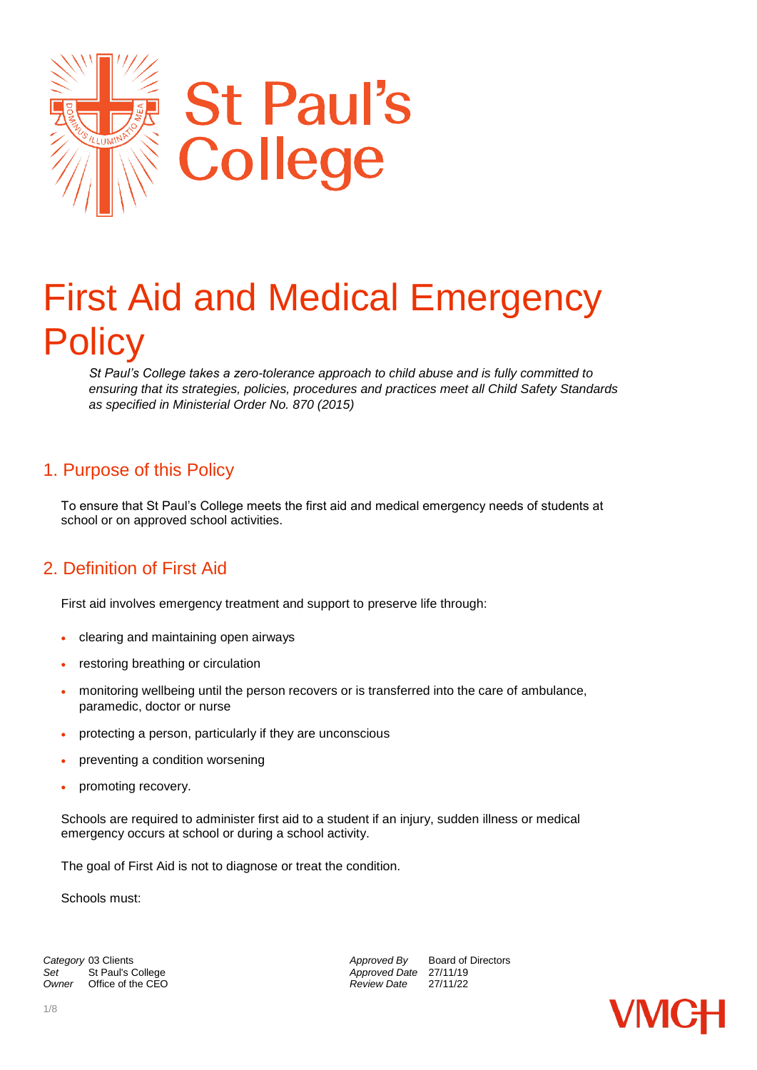

# First Aid and Medical Emergency **Policy**

*St Paul's College takes a zero-tolerance approach to child abuse and is fully committed to ensuring that its strategies, policies, procedures and practices meet all Child Safety Standards as specified in Ministerial Order No. 870 (2015)*

## 1. Purpose of this Policy

To ensure that St Paul's College meets the first aid and medical emergency needs of students at school or on approved school activities.

## 2. Definition of First Aid

First aid involves emergency treatment and support to preserve life through:

- clearing and maintaining open airways
- restoring breathing or circulation
- monitoring wellbeing until the person recovers or is transferred into the care of ambulance, paramedic, doctor or nurse
- protecting a person, particularly if they are unconscious
- preventing a condition worsening
- promoting recovery.

Schools are required to administer first aid to a student if an injury, sudden illness or medical emergency occurs at school or during a school activity.

The goal of First Aid is not to diagnose or treat the condition.

Schools must:

**Category** 03 Clients<br>
Set St Paul's College **Approved By** Board of Directors<br>
Approved Date 27/11/19 Set St Paul's College *Set* **Approved Date** 27/11/19<br>
Owner Office of the CEO **Approved Date** 27/11/22 *Office of the CEO* 

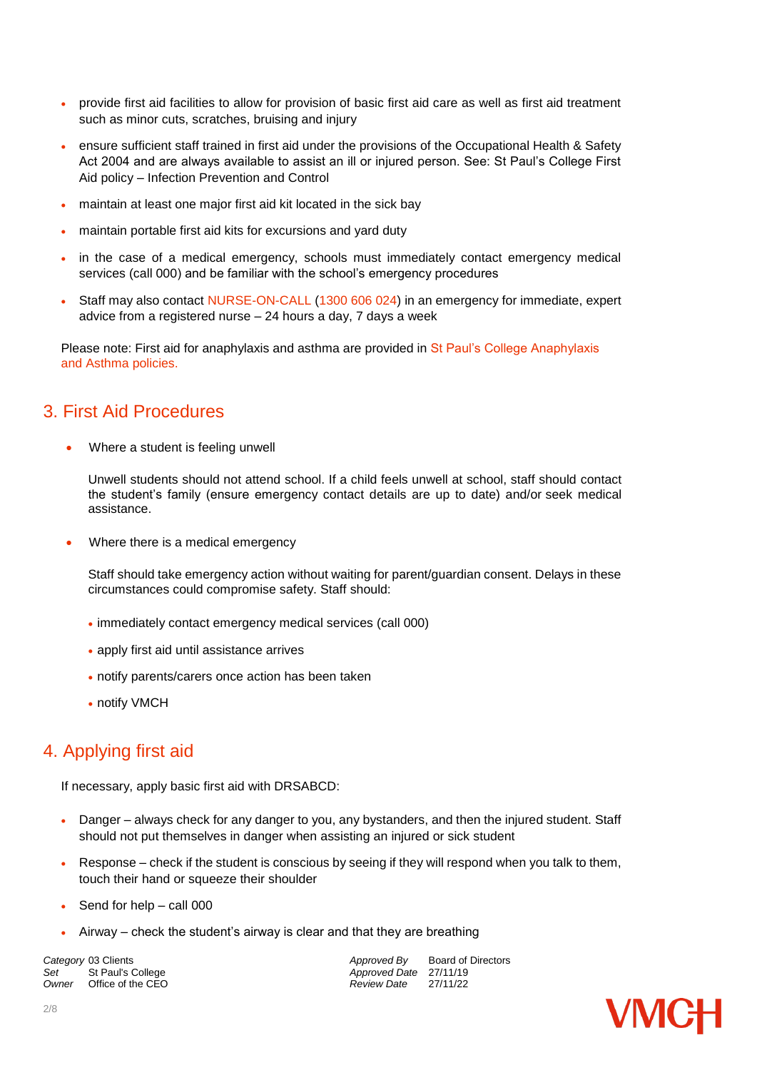- provide first aid facilities to allow for provision of basic first aid care as well as first aid treatment such as minor cuts, scratches, bruising and injury
- ensure sufficient staff trained in first aid under the provisions of the Occupational Health & Safety Act 2004 and are always available to assist an ill or injured person. See: St Paul's College First Aid policy – Infection Prevention and Control
- maintain at least one major first aid kit located in the sick bay
- maintain portable first aid kits for excursions and yard duty
- in the case of a medical emergency, schools must immediately contact emergency medical services (call 000) and be familiar with the school's emergency procedures
- Staff may also contact NURSE-ON-CALL (1300 606 024) in an emergency for immediate, expert advice from a registered nurse – 24 hours a day, 7 days a week

Please note: First aid for anaphylaxis and asthma are provided in St Paul's College Anaphylaxis and Asthma policies.

## 3. First Aid Procedures

Where a student is feeling unwell

Unwell students should not attend school. If a child feels unwell at school, staff should contact the student's family (ensure emergency contact details are up to date) and/or seek medical assistance.

Where there is a medical emergency

Staff should take emergency action without waiting for parent/guardian consent. Delays in these circumstances could compromise safety. Staff should:

- immediately contact emergency medical services (call 000)
- apply first aid until assistance arrives
- notify parents/carers once action has been taken
- notify VMCH

## 4. Applying first aid

If necessary, apply basic first aid with DRSABCD:

- Danger always check for any danger to you, any bystanders, and then the injured student. Staff should not put themselves in danger when assisting an injured or sick student
- $\bullet$  Response check if the student is conscious by seeing if they will respond when you talk to them, touch their hand or squeeze their shoulder
- Send for help call 000
- Airway check the student's airway is clear and that they are breathing

Set St Paul's College *Set* Approved Date 27/11/19<br>
Owner Office of the CEO **Approved Date** 27/11/22 *Office of the CEO* 

**Category** 03 Clients *Category* 03 Clients *Approved By* Board of Directors *Set* St Paul's College **Approved Date 27/11/19** 

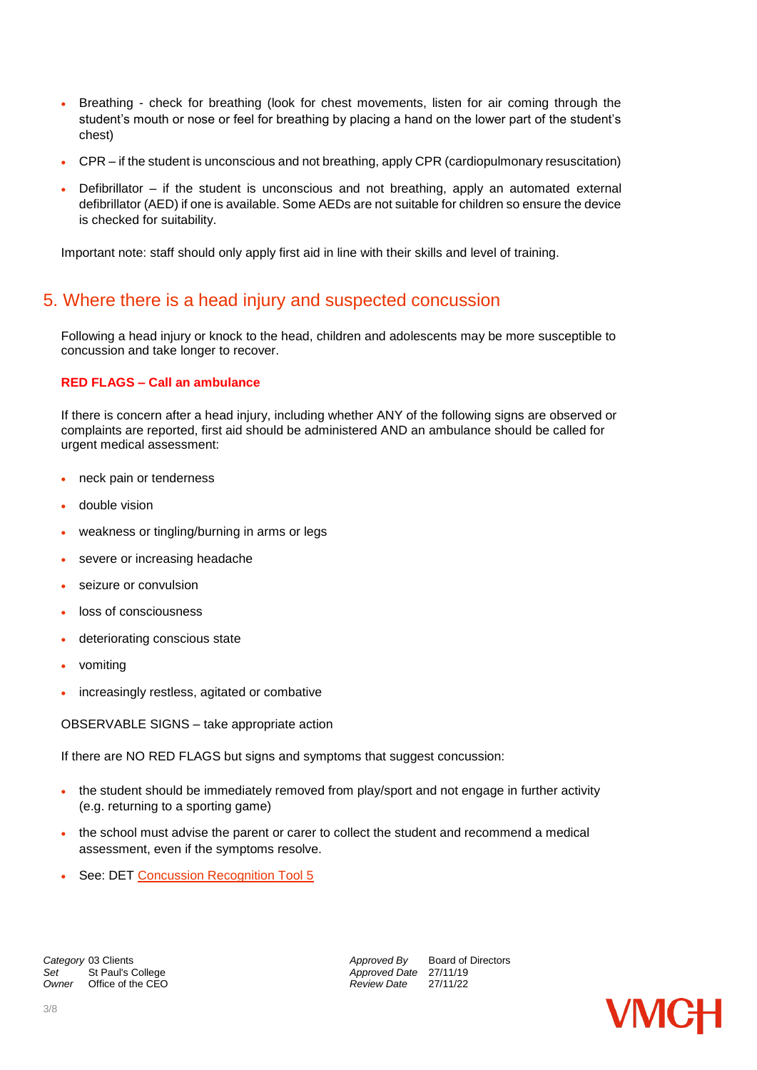- Breathing check for breathing (look for chest movements, listen for air coming through the student's mouth or nose or feel for breathing by placing a hand on the lower part of the student's chest)
- CPR if the student is unconscious and not breathing, apply CPR (cardiopulmonary resuscitation)
- Defibrillator if the student is unconscious and not breathing, apply an automated external defibrillator (AED) if one is available. Some AEDs are not suitable for children so ensure the device is checked for suitability.

Important note: staff should only apply first aid in line with their skills and level of training.

## 5. Where there is a head injury and suspected concussion

Following a head injury or knock to the head, children and adolescents may be more susceptible to concussion and take longer to recover.

#### **RED FLAGS – Call an ambulance**

If there is concern after a head injury, including whether ANY of the following signs are observed or complaints are reported, first aid should be administered AND an ambulance should be called for urgent medical assessment:

- neck pain or tenderness
- double vision
- weakness or tingling/burning in arms or legs
- severe or increasing headache
- seizure or convulsion
- loss of consciousness
- deteriorating conscious state
- vomiting
- increasingly restless, agitated or combative

OBSERVABLE SIGNS – take appropriate action

If there are NO RED FLAGS but signs and symptoms that suggest concussion:

- the student should be immediately removed from play/sport and not engage in further activity (e.g. returning to a sporting game)
- the school must advise the parent or carer to collect the student and recommend a medical assessment, even if the symptoms resolve.
- See: DET [Concussion Recognition Tool 5](http://bjsm.bmj.com/content/bjsports/early/2017/04/26/bjsports-2017-097508CRT5.full.pdf)

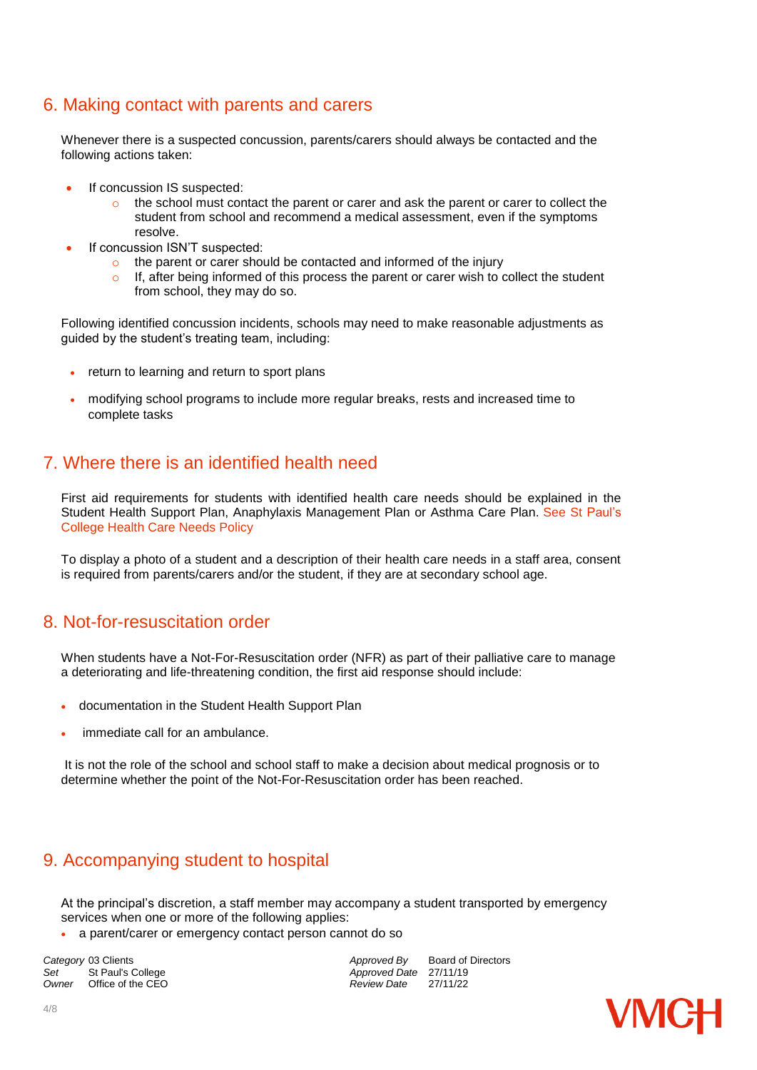## 6. Making contact with parents and carers

Whenever there is a suspected concussion, parents/carers should always be contacted and the following actions taken:

- If concussion IS suspected:
	- $\circ$  the school must contact the parent or carer and ask the parent or carer to collect the student from school and recommend a medical assessment, even if the symptoms resolve.
- If concussion ISN'T suspected:
	- o the parent or carer should be contacted and informed of the injury
	- $\circ$  If, after being informed of this process the parent or carer wish to collect the student from school, they may do so.

Following identified concussion incidents, schools may need to make reasonable adjustments as guided by the student's treating team, including:

- return to learning and return to sport plans
- modifying school programs to include more regular breaks, rests and increased time to complete tasks

## 7. Where there is an identified health need

First aid requirements for students with identified health care needs should be explained in the Student Health Support Plan, Anaphylaxis Management Plan or Asthma Care Plan. See St Paul's College Health Care Needs Policy

To display a photo of a student and a description of their health care needs in a staff area, consent is required from parents/carers and/or the student, if they are at secondary school age.

## 8. Not-for-resuscitation order

When students have a Not-For-Resuscitation order (NFR) as part of their palliative care to manage a deteriorating and life-threatening condition, the first aid response should include:

- documentation in the Student Health Support Plan
- immediate call for an ambulance.

It is not the role of the school and school staff to make a decision about medical prognosis or to determine whether the point of the Not-For-Resuscitation order has been reached.

## 9. Accompanying student to hospital

At the principal's discretion, a staff member may accompany a student transported by emergency services when one or more of the following applies:

a parent/carer or emergency contact person cannot do so

**Category** 03 Clients *Category* 03 Clients *Approved By* Board of Directors *Set* St Paul's College **Approved Date 27/11/19** Set St Paul's College *Set* Approved Date 27/11/19<br>
Owner Office of the CEO **Approved Date** 27/11/22 *Office of the CEO* 

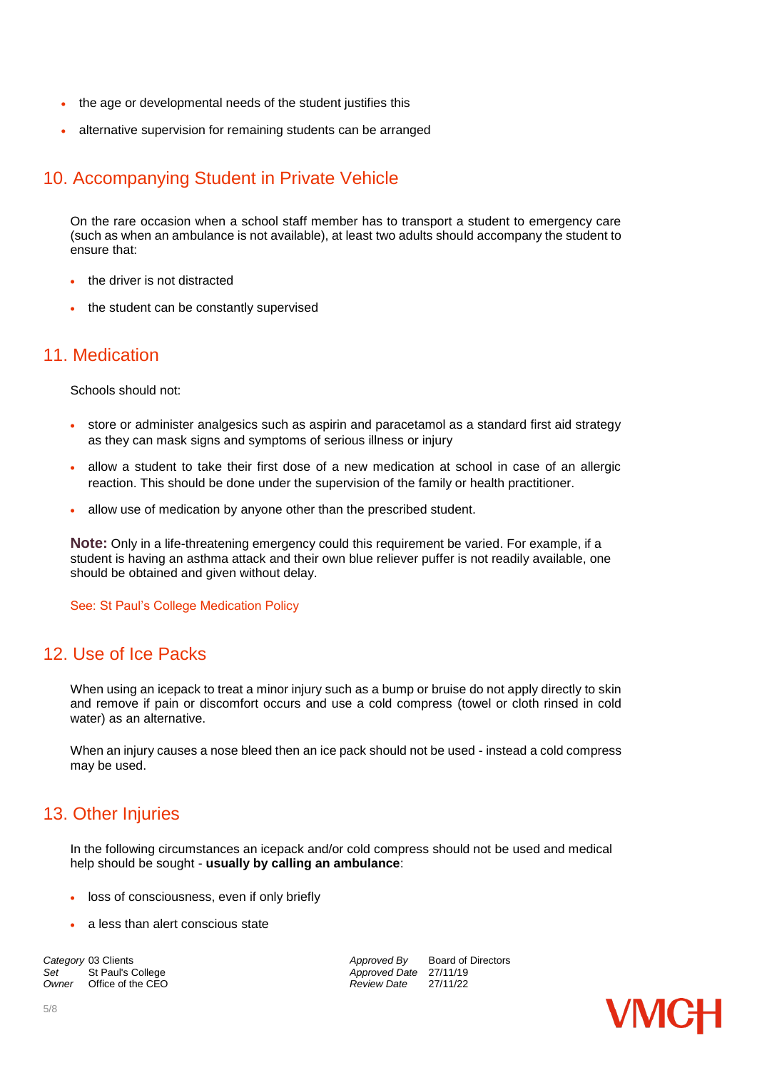- the age or developmental needs of the student justifies this
- alternative supervision for remaining students can be arranged

## 10. Accompanying Student in Private Vehicle

On the rare occasion when a school staff member has to transport a student to emergency care (such as when an ambulance is not available), at least two adults should accompany the student to ensure that:

- the driver is not distracted
- the student can be constantly supervised

#### 11. Medication

Schools should not:

- store or administer analgesics such as aspirin and paracetamol as a standard first aid strategy as they can mask signs and symptoms of serious illness or injury
- allow a student to take their first dose of a new medication at school in case of an allergic reaction. This should be done under the supervision of the family or health practitioner.
- allow use of medication by anyone other than the prescribed student.

**Note:** Only in a life-threatening emergency could this requirement be varied. For example, if a student is having an asthma attack and their own blue reliever puffer is not readily available, one should be obtained and given without delay.

See: St Paul's College Medication Policy

#### 12. Use of Ice Packs

When using an icepack to treat a minor injury such as a bump or bruise do not apply directly to skin and remove if pain or discomfort occurs and use a cold compress (towel or cloth rinsed in cold water) as an alternative.

When an injury causes a nose bleed then an ice pack should not be used - instead a cold compress may be used.

## 13. Other Injuries

In the following circumstances an icepack and/or cold compress should not be used and medical help should be sought - **usually by calling an ambulance**:

- loss of consciousness, even if only briefly
- a less than alert conscious state

**Category** 03 Clients **Approved By** Board of Directors *Approved By* Board of Directors *Approved Bate* 27/11/19 Set St Paul's College *Set* Approved Date 27/11/19<br>
Owner Office of the CEO **Approved Date** 27/11/22 *Office of the CEO* 

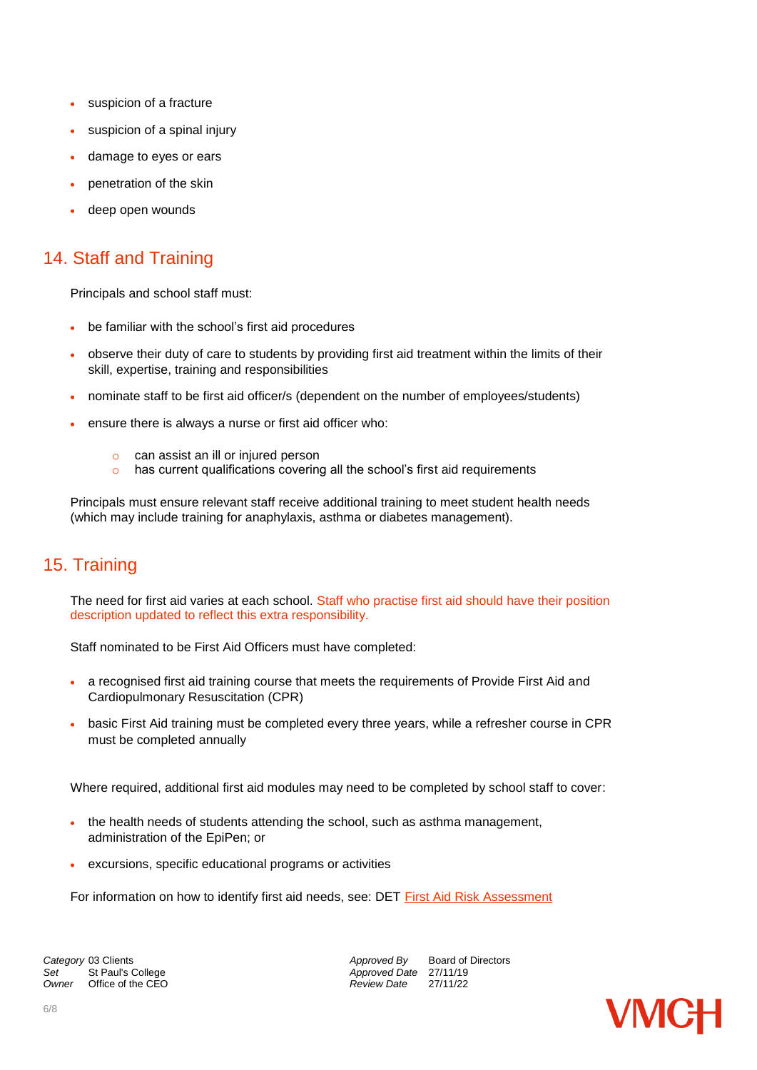- suspicion of a fracture
- suspicion of a spinal injury
- damage to eyes or ears
- penetration of the skin
- deep open wounds

## 14. Staff and Training

Principals and school staff must:

- be familiar with the school's first aid procedures
- observe their duty of care to students by providing first aid treatment within the limits of their skill, expertise, training and responsibilities
- nominate staff to be first aid officer/s (dependent on the number of employees/students)
- ensure there is always a nurse or first aid officer who:
	- o can assist an ill or injured person
	- o has current qualifications covering all the school's first aid requirements

Principals must ensure relevant staff receive additional training to meet student health needs (which may include training for anaphylaxis, asthma or diabetes management).

## 15. Training

The need for first aid varies at each school. Staff who practise first aid should have their position description updated to reflect this extra responsibility.

Staff nominated to be First Aid Officers must have completed:

- a recognised first aid training course that meets the requirements of Provide First Aid and Cardiopulmonary Resuscitation (CPR)
- basic First Aid training must be completed every three years, while a refresher course in CPR must be completed annually

Where required, additional first aid modules may need to be completed by school staff to cover:

- the health needs of students attending the school, such as asthma management, administration of the EpiPen; or
- excursions, specific educational programs or activities

For information on how to identify first aid needs, see: DET [First Aid Risk Assessment](https://www.education.vic.gov.au/Documents/school/principals/management/firstaidriskassess.docx)

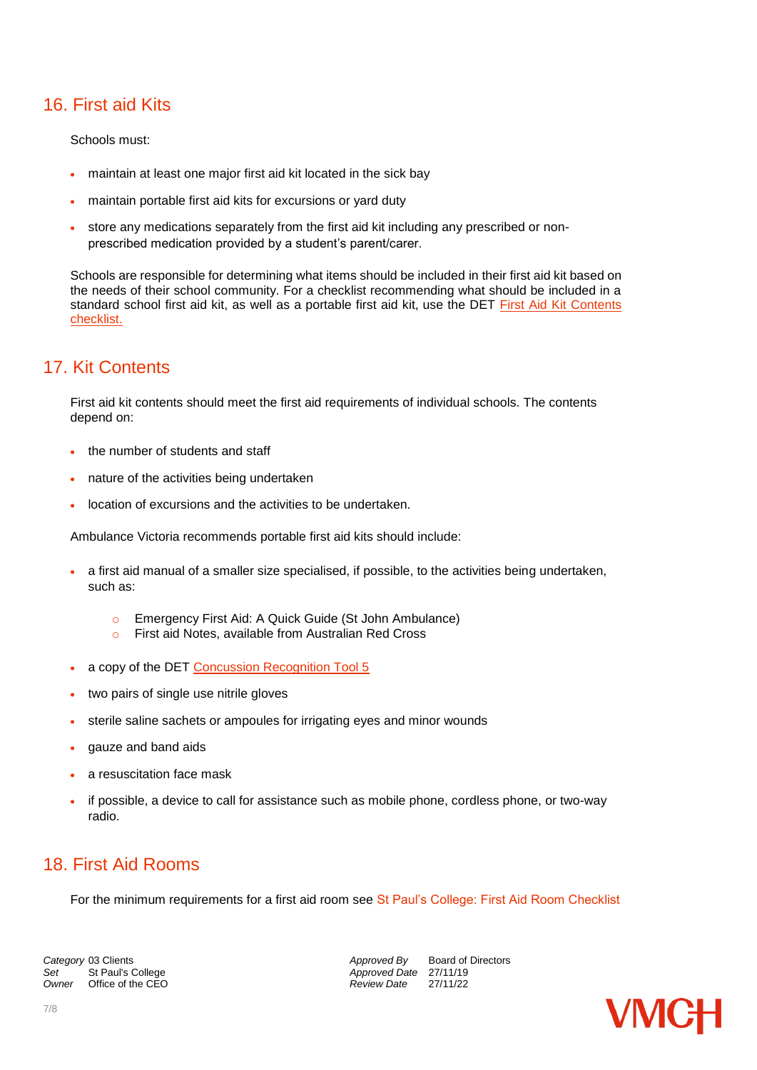## 16. First aid Kits

Schools must:

- maintain at least one major first aid kit located in the sick bay
- maintain portable first aid kits for excursions or yard duty
- store any medications separately from the first aid kit including any prescribed or nonprescribed medication provided by a student's parent/carer.

Schools are responsible for determining what items should be included in their first aid kit based on the needs of their school community. For a checklist recommending what should be included in a standard school first aid kit, as well as a portable first aid kit, use the DET First Aid Kit Contents [checklist.](http://www.education.vic.gov.au/Documents/school/principals/management/firstaidkitschecklist.docx)

## 17. Kit Contents

First aid kit contents should meet the first aid requirements of individual schools. The contents depend on:

- the number of students and staff
- nature of the activities being undertaken
- location of excursions and the activities to be undertaken.

Ambulance Victoria recommends portable first aid kits should include:

- a first aid manual of a smaller size specialised, if possible, to the activities being undertaken, such as:
	- o Emergency First Aid: A Quick Guide (St John Ambulance)
	- o First aid Notes, available from Australian Red Cross
- a copy of the DET [Concussion Recognition Tool 5](http://bjsm.bmj.com/content/bjsports/early/2017/04/26/bjsports-2017-097508CRT5.full.pdf)
- two pairs of single use nitrile gloves
- sterile saline sachets or ampoules for irrigating eyes and minor wounds
- gauze and band aids
- a resuscitation face mask
- if possible, a device to call for assistance such as mobile phone, cordless phone, or two-way radio.

## 18. First Aid Rooms

For the minimum requirements for a first aid room see St Paul's College: First Aid Room Checklist

Set St Paul's College **Approved Date** 27/11/19<br>
Owner Office of the CEO **Approved Date** 27/11/22 *Office of the CEO* 

**Category** 03 Clients *Category* 03 Clients *Approved By* Board of Directors *Approved By* Board of Directors